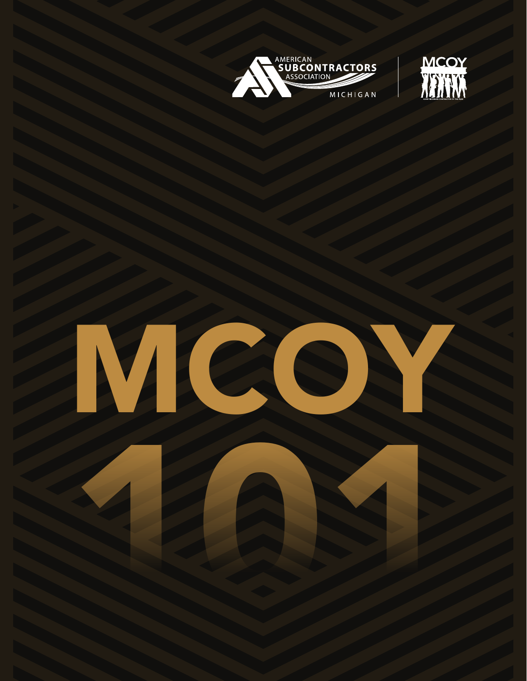



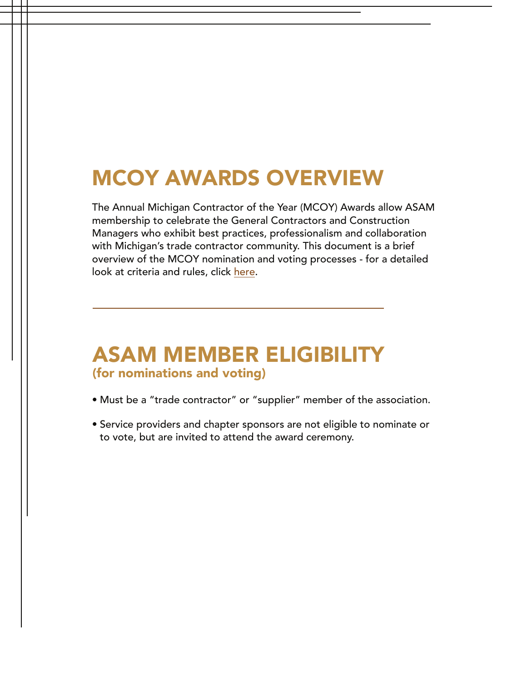#### MCOY AWARDS OVERVIEW

The Annual Michigan Contractor of the Year (MCOY) Awards allow ASAM membership to celebrate the General Contractors and Construction Managers who exhibit best practices, professionalism and collaboration with Michigan's trade contractor community. This document is a brief overview of the MCOY nomination and voting processes - for a detailed look at criteria and rules, click [here](https://asamichigan.net/mcoy-rules).

#### ASAM MEMBER ELIGIBILITY (for nominations and voting)

- Must be a "trade contractor" or "supplier" member of the association.
- Service providers and chapter sponsors are not eligible to nominate or to vote, but are invited to attend the award ceremony.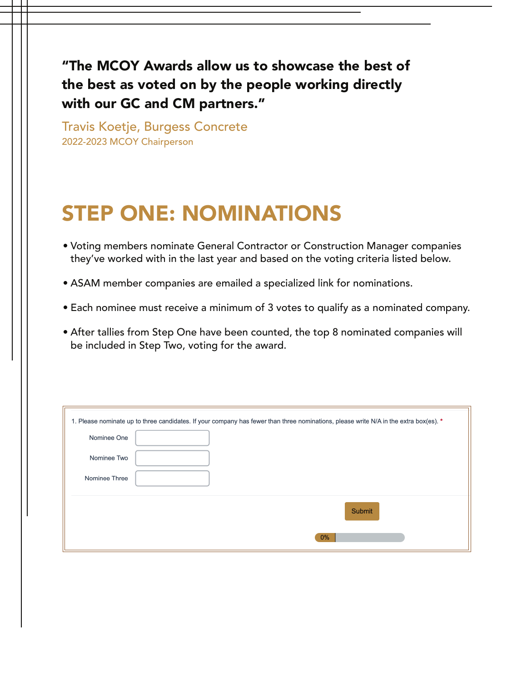"The MCOY Awards allow us to showcase the best of the best as voted on by the people working directly with our GC and CM partners."

Travis Koetje, Burgess Concrete 2022-2023 MCOY Chairperson

### STEP ONE: NOMINATIONS

- Voting members nominate General Contractor or Construction Manager companies they've worked with in the last year and based on the voting criteria listed below.
- ASAM member companies are emailed a specialized link for nominations.
- Each nominee must receive a minimum of 3 votes to qualify as a nominated company.
- After tallies from Step One have been counted, the top 8 nominated companies will be included in Step Two, voting for the award.

| 1. Please nominate up to three candidates. If your company has fewer than three nominations, please write N/A in the extra box(es). * |               |
|---------------------------------------------------------------------------------------------------------------------------------------|---------------|
| Nominee One                                                                                                                           |               |
| Nominee Two                                                                                                                           |               |
| Nominee Three                                                                                                                         |               |
|                                                                                                                                       | <b>Submit</b> |
|                                                                                                                                       | 0%            |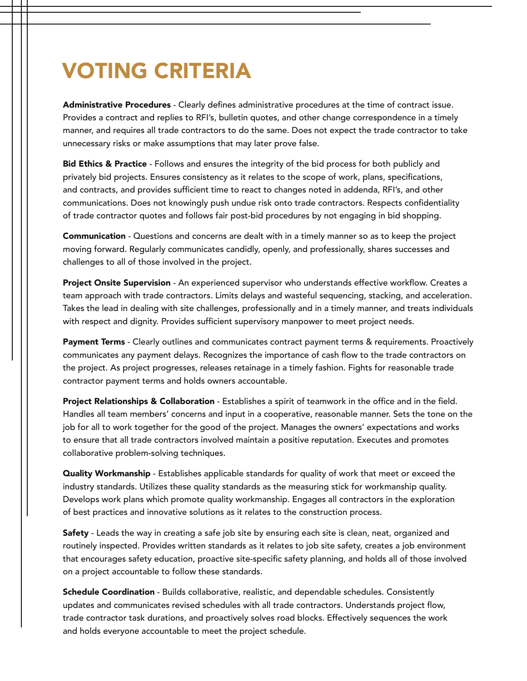## VOTING CRITERIA

Administrative Procedures - Clearly defines administrative procedures at the time of contract issue. Provides a contract and replies to RFI's, bulletin quotes, and other change correspondence in a timely manner, and requires all trade contractors to do the same. Does not expect the trade contractor to take unnecessary risks or make assumptions that may later prove false.

Bid Ethics & Practice - Follows and ensures the integrity of the bid process for both publicly and privately bid projects. Ensures consistency as it relates to the scope of work, plans, specifications, and contracts, and provides sufficient time to react to changes noted in addenda, RFI's, and other communications. Does not knowingly push undue risk onto trade contractors. Respects confidentiality of trade contractor quotes and follows fair post-bid procedures by not engaging in bid shopping.

Communication - Questions and concerns are dealt with in a timely manner so as to keep the project moving forward. Regularly communicates candidly, openly, and professionally, shares successes and challenges to all of those involved in the project.

Project Onsite Supervision - An experienced supervisor who understands effective workflow. Creates a team approach with trade contractors. Limits delays and wasteful sequencing, stacking, and acceleration. Takes the lead in dealing with site challenges, professionally and in a timely manner, and treats individuals with respect and dignity. Provides sufficient supervisory manpower to meet project needs.

Payment Terms - Clearly outlines and communicates contract payment terms & requirements. Proactively communicates any payment delays. Recognizes the importance of cash flow to the trade contractors on the project. As project progresses, releases retainage in a timely fashion. Fights for reasonable trade contractor payment terms and holds owners accountable.

Project Relationships & Collaboration - Establishes a spirit of teamwork in the office and in the field. Handles all team members' concerns and input in a cooperative, reasonable manner. Sets the tone on the job for all to work together for the good of the project. Manages the owners' expectations and works to ensure that all trade contractors involved maintain a positive reputation. Executes and promotes collaborative problem-solving techniques.

Quality Workmanship - Establishes applicable standards for quality of work that meet or exceed the industry standards. Utilizes these quality standards as the measuring stick for workmanship quality. Develops work plans which promote quality workmanship. Engages all contractors in the exploration of best practices and innovative solutions as it relates to the construction process.

Safety - Leads the way in creating a safe job site by ensuring each site is clean, neat, organized and routinely inspected. Provides written standards as it relates to job site safety, creates a job environment that encourages safety education, proactive site-specific safety planning, and holds all of those involved on a project accountable to follow these standards.

Schedule Coordination - Builds collaborative, realistic, and dependable schedules. Consistently updates and communicates revised schedules with all trade contractors. Understands project flow, trade contractor task durations, and proactively solves road blocks. Effectively sequences the work and holds everyone accountable to meet the project schedule.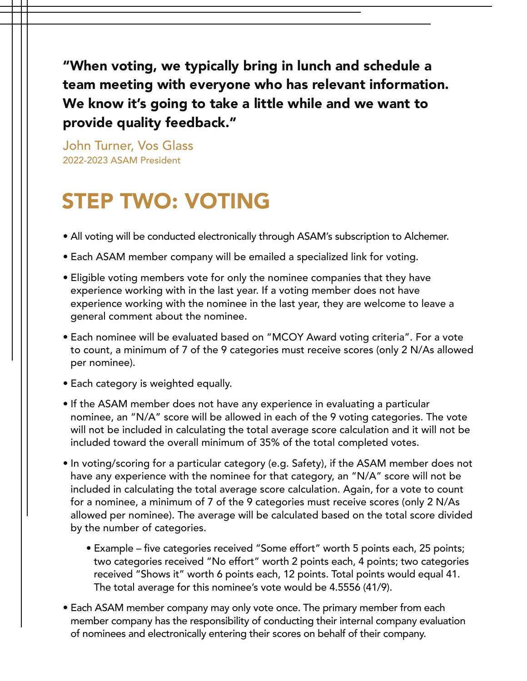"When voting, we typically bring in lunch and schedule a team meeting with everyone who has relevant information. We know it's going to take a little while and we want to provide quality feedback."

John Turner, Vos Glass 2022-2023 ASAM President

## STEP TWO: VOTING

- All voting will be conducted electronically through ASAM's subscription to Alchemer.
- Each ASAM member company will be emailed a specialized link for voting.
- Eligible voting members vote for only the nominee companies that they have experience working with in the last year. If a voting member does not have experience working with the nominee in the last year, they are welcome to leave a general comment about the nominee.
- Each nominee will be evaluated based on "MCOY Award voting criteria". For a vote to count, a minimum of 7 of the 9 categories must receive scores (only 2 N/As allowed per nominee).
- Each category is weighted equally.
- If the ASAM member does not have any experience in evaluating a particular nominee, an "N/A" score will be allowed in each of the 9 voting categories. The vote will not be included in calculating the total average score calculation and it will not be included toward the overall minimum of 35% of the total completed votes.
- In voting/scoring for a particular category (e.g. Safety), if the ASAM member does not have any experience with the nominee for that category, an "N/A" score will not be included in calculating the total average score calculation. Again, for a vote to count for a nominee, a minimum of 7 of the 9 categories must receive scores (only 2 N/As allowed per nominee). The average will be calculated based on the total score divided by the number of categories.
	- Example five categories received "Some effort" worth 5 points each, 25 points; two categories received "No effort" worth 2 points each, 4 points; two categories received "Shows it" worth 6 points each, 12 points. Total points would equal 41. The total average for this nominee's vote would be 4.5556 (41/9).
- Each ASAM member company may only vote once. The primary member from each member company has the responsibility of conducting their internal company evaluation of nominees and electronically entering their scores on behalf of their company.